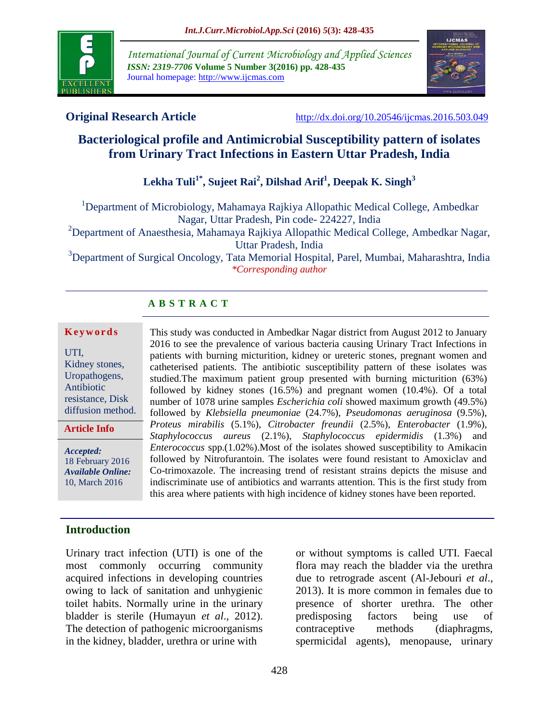

*International Journal of Current Microbiology and Applied Sciences ISSN: 2319-7706* **Volume 5 Number 3(2016) pp. 428-435** Journal homepage: http://www.ijcmas.com



**Original Research Article** <http://dx.doi.org/10.20546/ijcmas.2016.503.049>

# **Bacteriological profile and Antimicrobial Susceptibility pattern of isolates from Urinary Tract Infections in Eastern Uttar Pradesh, India**

# **Lekha Tuli1\*, Sujeet Rai<sup>2</sup> , Dilshad Arif<sup>1</sup> , Deepak K. Singh<sup>3</sup>**

<sup>1</sup>Department of Microbiology, Mahamaya Rajkiya Allopathic Medical College, Ambedkar Nagar, Uttar Pradesh, Pin code- 224227, India

<sup>2</sup>Department of Anaesthesia, Mahamaya Rajkiya Allopathic Medical College, Ambedkar Nagar, Uttar Pradesh, India

<sup>3</sup>Department of Surgical Oncology, Tata Memorial Hospital, Parel, Mumbai, Maharashtra, India *\*Corresponding author*

# **A B S T R A C T**

#### **K e y w o r d s**

UTI, Kidney stones, Uropathogens, Antibiotic resistance, Disk diffusion method.

**Article Info**

*Accepted:*  18 February 2016 *Available Online:* 10, March 2016

catheterised patients. The antibiotic susceptibility pattern of these isolates was studied.The maximum patient group presented with burning micturition (63%) followed by kidney stones (16.5%) and pregnant women (10.4%). Of a total number of 1078 urine samples *Escherichia coli* showed maximum growth (49.5%) followed by *Klebsiella pneumoniae* (24.7%), *Pseudomonas aeruginosa* (9.5%), *Proteus mirabilis* (5.1%), *Citrobacter freundii* (2.5%), *Enterobacter* (1.9%), *Staphylococcus aureus* (2.1%), *Staphylococcus epidermidis* (1.3%) and *Enterococcus* spp.(1.02%).Most of the isolates showed susceptibility to Amikacin followed by Nitrofurantoin. The isolates were found resistant to Amoxiclav and Co-trimoxazole. The increasing trend of resistant strains depicts the misuse and indiscriminate use of antibiotics and warrants attention. This is the first study from this area where patients with high incidence of kidney stones have been reported.

This study was conducted in Ambedkar Nagar district from August 2012 to January 2016 to see the prevalence of various bacteria causing Urinary Tract Infections in patients with burning micturition, kidney or ureteric stones, pregnant women and

## **Introduction**

Urinary tract infection (UTI) is one of the most commonly occurring community acquired infections in developing countries owing to lack of sanitation and unhygienic toilet habits. Normally urine in the urinary bladder is sterile (Humayun *et al*., 2012). The detection of pathogenic microorganisms in the kidney, bladder, urethra or urine with

or without symptoms is called UTI. Faecal flora may reach the bladder via the urethra due to retrograde ascent (Al-Jebouri *et al*., 2013). It is more common in females due to presence of shorter urethra. The other predisposing factors being use of contraceptive methods (diaphragms, spermicidal agents), menopause, urinary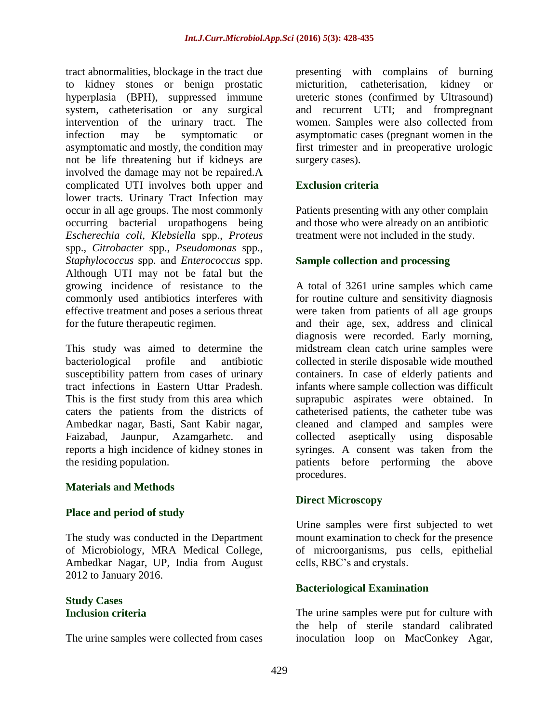tract abnormalities, blockage in the tract due to kidney stones or benign prostatic hyperplasia (BPH), suppressed immune system, catheterisation or any surgical intervention of the urinary tract. The infection may be symptomatic or asymptomatic and mostly, the condition may not be life threatening but if kidneys are involved the damage may not be repaired.A complicated UTI involves both upper and lower tracts. Urinary Tract Infection may occur in all age groups. The most commonly occurring bacterial uropathogens being *Escherechia coli*, *Klebsiella* spp., *Proteus* spp., *Citrobacter* spp., *Pseudomonas* spp., *Staphylococcus* spp. and *Enterococcus* spp. Although UTI may not be fatal but the growing incidence of resistance to the commonly used antibiotics interferes with effective treatment and poses a serious threat for the future therapeutic regimen.

This study was aimed to determine the bacteriological profile and antibiotic susceptibility pattern from cases of urinary tract infections in Eastern Uttar Pradesh. This is the first study from this area which caters the patients from the districts of Ambedkar nagar, Basti, Sant Kabir nagar, Faizabad, Jaunpur, Azamgarhetc. and reports a high incidence of kidney stones in the residing population.

## **Materials and Methods**

#### **Place and period of study**

The study was conducted in the Department of Microbiology, MRA Medical College, Ambedkar Nagar, UP, India from August 2012 to January 2016.

#### **Study Cases Inclusion criteria**

The urine samples were collected from cases

presenting with complains of burning micturition, catheterisation, kidney or ureteric stones (confirmed by Ultrasound) and recurrent UTI; and frompregnant women. Samples were also collected from asymptomatic cases (pregnant women in the first trimester and in preoperative urologic surgery cases).

## **Exclusion criteria**

Patients presenting with any other complain and those who were already on an antibiotic treatment were not included in the study.

## **Sample collection and processing**

A total of 3261 urine samples which came for routine culture and sensitivity diagnosis were taken from patients of all age groups and their age, sex, address and clinical diagnosis were recorded. Early morning, midstream clean catch urine samples were collected in sterile disposable wide mouthed containers. In case of elderly patients and infants where sample collection was difficult suprapubic aspirates were obtained. In catheterised patients, the catheter tube was cleaned and clamped and samples were collected aseptically using disposable syringes. A consent was taken from the patients before performing the above procedures.

## **Direct Microscopy**

Urine samples were first subjected to wet mount examination to check for the presence of microorganisms, pus cells, epithelial cells, RBC's and crystals.

## **Bacteriological Examination**

The urine samples were put for culture with the help of sterile standard calibrated inoculation loop on MacConkey Agar,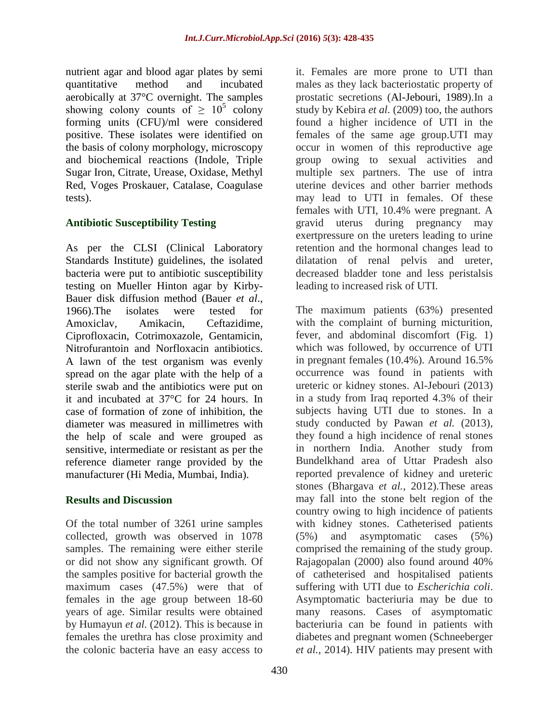nutrient agar and blood agar plates by semi quantitative method and incubated aerobically at 37°C overnight. The samples showing colony counts of  $\geq 10^5$  colony forming units (CFU)/ml were considered positive. These isolates were identified on the basis of colony morphology, microscopy and biochemical reactions (Indole, Triple Sugar Iron, Citrate, Urease, Oxidase, Methyl Red, Voges Proskauer, Catalase, Coagulase tests).

## **Antibiotic Susceptibility Testing**

As per the CLSI (Clinical Laboratory Standards Institute) guidelines, the isolated bacteria were put to antibiotic susceptibility testing on Mueller Hinton agar by Kirby-Bauer disk diffusion method (Bauer *et al*., 1966).The isolates were tested for Amoxiclav, Amikacin, Ceftazidime, Ciprofloxacin, Cotrimoxazole, Gentamicin, Nitrofurantoin and Norfloxacin antibiotics. A lawn of the test organism was evenly spread on the agar plate with the help of a sterile swab and the antibiotics were put on it and incubated at 37°C for 24 hours. In case of formation of zone of inhibition, the diameter was measured in millimetres with the help of scale and were grouped as sensitive, intermediate or resistant as per the reference diameter range provided by the manufacturer (Hi Media, Mumbai, India).

## **Results and Discussion**

Of the total number of 3261 urine samples collected, growth was observed in 1078 samples. The remaining were either sterile or did not show any significant growth. Of the samples positive for bacterial growth the maximum cases (47.5%) were that of females in the age group between 18-60 years of age. Similar results were obtained by Humayun *et al.* (2012). This is because in females the urethra has close proximity and the colonic bacteria have an easy access to

it. Females are more prone to UTI than males as they lack bacteriostatic property of prostatic secretions (Al-Jebouri, 1989).In a study by Kebira *et al.* (2009) too, the authors found a higher incidence of UTI in the females of the same age group.UTI may occur in women of this reproductive age group owing to sexual activities and multiple sex partners. The use of intra uterine devices and other barrier methods may lead to UTI in females. Of these females with UTI, 10.4% were pregnant. A gravid uterus during pregnancy may exertpressure on the ureters leading to urine retention and the hormonal changes lead to dilatation of renal pelvis and ureter, decreased bladder tone and less peristalsis leading to increased risk of UTI.

The maximum patients (63%) presented with the complaint of burning micturition, fever, and abdominal discomfort (Fig. 1) which was followed, by occurrence of UTI in pregnant females (10.4%). Around 16.5% occurrence was found in patients with ureteric or kidney stones. Al-Jebouri (2013) in a study from Iraq reported 4.3% of their subjects having UTI due to stones. In a study conducted by Pawan *et al.* (2013), they found a high incidence of renal stones in northern India. Another study from Bundelkhand area of Uttar Pradesh also reported prevalence of kidney and ureteric stones (Bhargava *et al.*, 2012).These areas may fall into the stone belt region of the country owing to high incidence of patients with kidney stones. Catheterised patients (5%) and asymptomatic cases (5%) comprised the remaining of the study group. Rajagopalan (2000) also found around 40% of catheterised and hospitalised patients suffering with UTI due to *Escherichia coli*. Asymptomatic bacteriuria may be due to many reasons. Cases of asymptomatic bacteriuria can be found in patients with diabetes and pregnant women (Schneeberger *et al.*, 2014). HIV patients may present with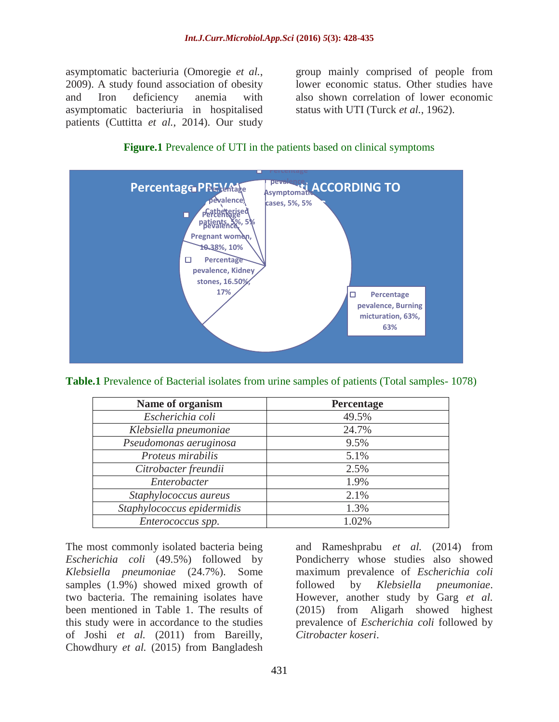asymptomatic bacteriuria (Omoregie *et al.*, 2009). A study found association of obesity and Iron deficiency anemia with asymptomatic bacteriuria in hospitalised patients (Cuttitta *et al.*, 2014). Our study

group mainly comprised of people from lower economic status. Other studies have also shown correlation of lower economic status with UTI (Turck *et al.*, 1962).





**Table.1** Prevalence of Bacterial isolates from urine samples of patients (Total samples- 1078)

| Name of organism           | Percentage |  |  |  |
|----------------------------|------------|--|--|--|
| Escherichia coli           | 49.5%      |  |  |  |
| Klebsiella pneumoniae      | 24.7%      |  |  |  |
| Pseudomonas aeruginosa     | 9.5%       |  |  |  |
| Proteus mirabilis          | 5.1%       |  |  |  |
| Citrobacter freundii       | 2.5%       |  |  |  |
| Enterobacter               | 1.9%       |  |  |  |
| Staphylococcus aureus      | 2.1%       |  |  |  |
| Staphylococcus epidermidis | 1.3%       |  |  |  |
| Enterococcus spp.          | 1.02%      |  |  |  |

The most commonly isolated bacteria being *Escherichia coli* (49.5%) followed by *Klebsiella pneumoniae* (24.7%). Some samples (1.9%) showed mixed growth of two bacteria. The remaining isolates have been mentioned in Table 1. The results of this study were in accordance to the studies of Joshi *et al.* (2011) from Bareilly, Chowdhury *et al.* (2015) from Bangladesh

and Rameshprabu *et al.* (2014) from Pondicherry whose studies also showed maximum prevalence of *Escherichia coli* followed by *Klebsiella pneumoniae*. However, another study by Garg *et al.* (2015) from Aligarh showed highest prevalence of *Escherichia coli* followed by *Citrobacter koseri*.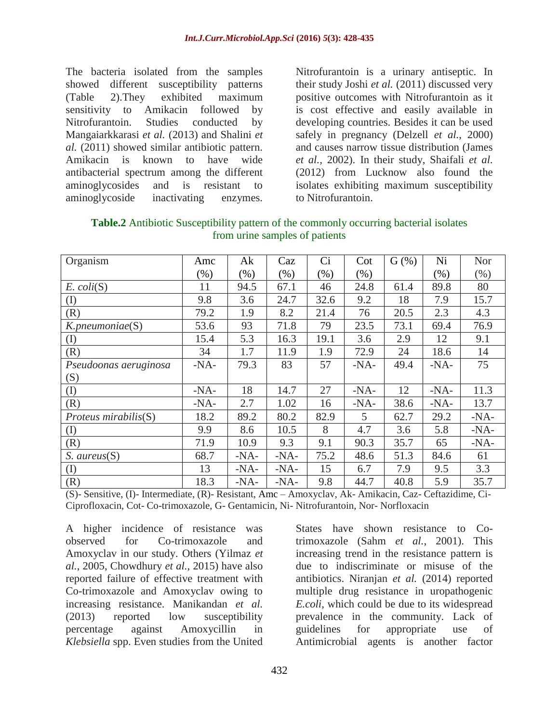The bacteria isolated from the samples showed different susceptibility patterns (Table 2).They exhibited maximum sensitivity to Amikacin followed by Nitrofurantoin. Studies conducted by Mangaiarkkarasi *et al.* (2013) and Shalini *et al.* (2011) showed similar antibiotic pattern. Amikacin is known to have wide antibacterial spectrum among the different aminoglycosides and is resistant to aminoglycoside inactivating enzymes.

Nitrofurantoin is a urinary antiseptic. In their study Joshi *et al.* (2011) discussed very positive outcomes with Nitrofurantoin as it is cost effective and easily available in developing countries. Besides it can be used safely in pregnancy (Delzell *et al.*, 2000) and causes narrow tissue distribution (James *et al.,* 2002). In their study, Shaifali *et al.* (2012) from Lucknow also found the isolates exhibiting maximum susceptibility to Nitrofurantoin.

**Table.2** Antibiotic Susceptibility pattern of the commonly occurring bacterial isolates from urine samples of patients

| Organism              | Amc    | Ak     | Caz     | Ci      | Cot    | $G$ (%) | Ni     | <b>Nor</b> |
|-----------------------|--------|--------|---------|---------|--------|---------|--------|------------|
|                       | $(\%)$ | (% )   | $(\% )$ | $(\% )$ | $(\%)$ |         | (%)    | (% )       |
| $E.$ $coli(S)$        | 11     | 94.5   | 67.1    | 46      | 24.8   | 61.4    | 89.8   | 80         |
| (I)                   | 9.8    | 3.6    | 24.7    | 32.6    | 9.2    | 18      | 7.9    | 15.7       |
| (R)                   | 79.2   | 1.9    | 8.2     | 21.4    | 76     | 20.5    | 2.3    | 4.3        |
| $K.$ pneumoniae $(S)$ | 53.6   | 93     | 71.8    | 79      | 23.5   | 73.1    | 69.4   | 76.9       |
| (I)                   | 15.4   | 5.3    | 16.3    | 19.1    | 3.6    | 2.9     | 12     | 9.1        |
| (R)                   | 34     | 1.7    | 11.9    | 1.9     | 72.9   | 24      | 18.6   | 14         |
| Pseudoonas aeruginosa | $-NA-$ | 79.3   | 83      | 57      | $-NA-$ | 49.4    | $-NA-$ | 75         |
| (S)                   |        |        |         |         |        |         |        |            |
| (I)                   | $-NA-$ | 18     | 14.7    | 27      | $-NA-$ | 12      | $-NA-$ | 11.3       |
| (R)                   | $-NA-$ | 2.7    | 1.02    | 16      | $-NA-$ | 38.6    | $-NA-$ | 13.7       |
| Proteus mirabilis(S)  | 18.2   | 89.2   | 80.2    | 82.9    | 5      | 62.7    | 29.2   | $-NA-$     |
| (I)                   | 9.9    | 8.6    | 10.5    | 8       | 4.7    | 3.6     | 5.8    | $-NA-$     |
| (R)                   | 71.9   | 10.9   | 9.3     | 9.1     | 90.3   | 35.7    | 65     | $-NA-$     |
| $S.$ aureus $(S)$     | 68.7   | $-NA-$ | $-NA-$  | 75.2    | 48.6   | 51.3    | 84.6   | 61         |
| (I)                   | 13     | $-NA-$ | $-NA-$  | 15      | 6.7    | 7.9     | 9.5    | 3.3        |
| (R)                   | 18.3   | $-NA-$ | $-NA-$  | 9.8     | 44.7   | 40.8    | 5.9    | 35.7       |

(S)- Sensitive, (I)- Intermediate, (R)- Resistant, Amc – Amoxyclav, Ak- Amikacin, Caz- Ceftazidime, Ci-Ciprofloxacin, Cot- Co-trimoxazole, G- Gentamicin, Ni- Nitrofurantoin, Nor- Norfloxacin

A higher incidence of resistance was observed for Co-trimoxazole and Amoxyclav in our study. Others (Yilmaz *et al.*, 2005, Chowdhury *et al.*, 2015) have also reported failure of effective treatment with Co-trimoxazole and Amoxyclav owing to increasing resistance. Manikandan *et al.* (2013) reported low susceptibility percentage against Amoxycillin in *Klebsiella* spp. Even studies from the United

States have shown resistance to Cotrimoxazole (Sahm *et al.*, 2001). This increasing trend in the resistance pattern is due to indiscriminate or misuse of the antibiotics. Niranjan *et al.* (2014) reported multiple drug resistance in uropathogenic *E.coli*, which could be due to its widespread prevalence in the community. Lack of guidelines for appropriate use of Antimicrobial agents is another factor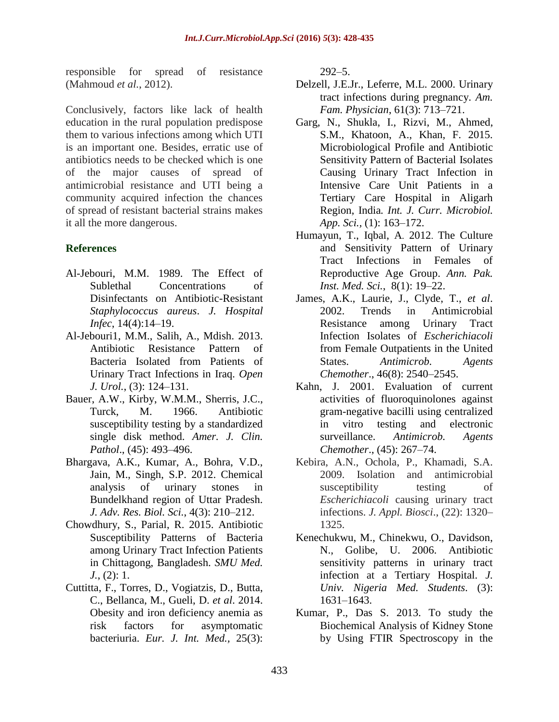responsible for spread of resistance (Mahmoud *et al.*, 2012).

Conclusively, factors like lack of health education in the rural population predispose them to various infections among which UTI is an important one. Besides, erratic use of antibiotics needs to be checked which is one of the major causes of spread of antimicrobial resistance and UTI being a community acquired infection the chances of spread of resistant bacterial strains makes it all the more dangerous.

## **References**

- Al-Jebouri, M.M. 1989. The Effect of Sublethal Concentrations of Disinfectants on Antibiotic-Resistant *Staphylococcus aureus*. *J. Hospital Infec*, 14(4):14–19.
- Al-Jebouri1, M.M., Salih, A., Mdish. 2013. Antibiotic Resistance Pattern of Bacteria Isolated from Patients of Urinary Tract Infections in Iraq. *Open J. Urol.*, (3): 124–131.
- Bauer, A.W., Kirby, W.M.M., Sherris, J.C., Turck, M. 1966. Antibiotic susceptibility testing by a standardized single disk method. *Amer. J. Clin. Pathol*., (45): 493–496.
- Bhargava, A.K., Kumar, A., Bohra, V.D., Jain, M., Singh, S.P. 2012. Chemical analysis of urinary stones in Bundelkhand region of Uttar Pradesh. *J. Adv. Res. Biol. Sci.*, 4(3): 210–212.
- Chowdhury, S., Parial, R. 2015. Antibiotic Susceptibility Patterns of Bacteria among Urinary Tract Infection Patients in Chittagong, Bangladesh. *SMU Med. J.*, (2): 1.
- Cuttitta, F., Torres, D., Vogiatzis, D., Butta, C., Bellanca, M., Gueli, D. *et al*. 2014. Obesity and iron deficiency anemia as risk factors for asymptomatic bacteriuria. *Eur. J. Int. Med.,* 25(3):

292–5.

- Delzell, J.E.Jr., Leferre, M.L. 2000. Urinary tract infections during pregnancy. *Am. Fam. Physician*, 61(3): 713–721.
- Garg, N., Shukla, I., Rizvi, M., Ahmed, S.M., Khatoon, A., Khan, F. 2015. Microbiological Profile and Antibiotic Sensitivity Pattern of Bacterial Isolates Causing Urinary Tract Infection in Intensive Care Unit Patients in a Tertiary Care Hospital in Aligarh Region, India*. Int. J. Curr. Microbiol. App. Sci.,* (1): 163–172.
- Humayun, T., Iqbal, A*.* 2012. The Culture and Sensitivity Pattern of Urinary Tract Infections in Females of Reproductive Age Group. *Ann. Pak. Inst. Med. Sci.*, 8(1): 19–22.
- James, A.K., Laurie, J., Clyde, T., *et al*. 2002. Trends in Antimicrobial Resistance among Urinary Tract Infection Isolates of *Escherichiacoli* from Female Outpatients in the United States. *Antimicrob. Agents Chemother*., 46(8): 2540–2545.
- Kahn, J. 2001. Evaluation of current activities of fluoroquinolones against gram-negative bacilli using centralized in vitro testing and electronic surveillance. *Antimicrob. Agents Chemother*., (45): 267–74.
- Kebira, A.N., Ochola, P., Khamadi, S.A. 2009. Isolation and antimicrobial susceptibility testing of *Escherichiacoli* causing urinary tract infections. *J. Appl. Biosci*., (22): 1320– 1325.
- Kenechukwu, M., Chinekwu, O., Davidson, N., Golibe, U. 2006. Antibiotic sensitivity patterns in urinary tract infection at a Tertiary Hospital. *J. Univ. Nigeria Med. Students*. (3): 1631–1643.
- Kumar, P., Das S. 2013. To study the Biochemical Analysis of Kidney Stone by Using FTIR Spectroscopy in the